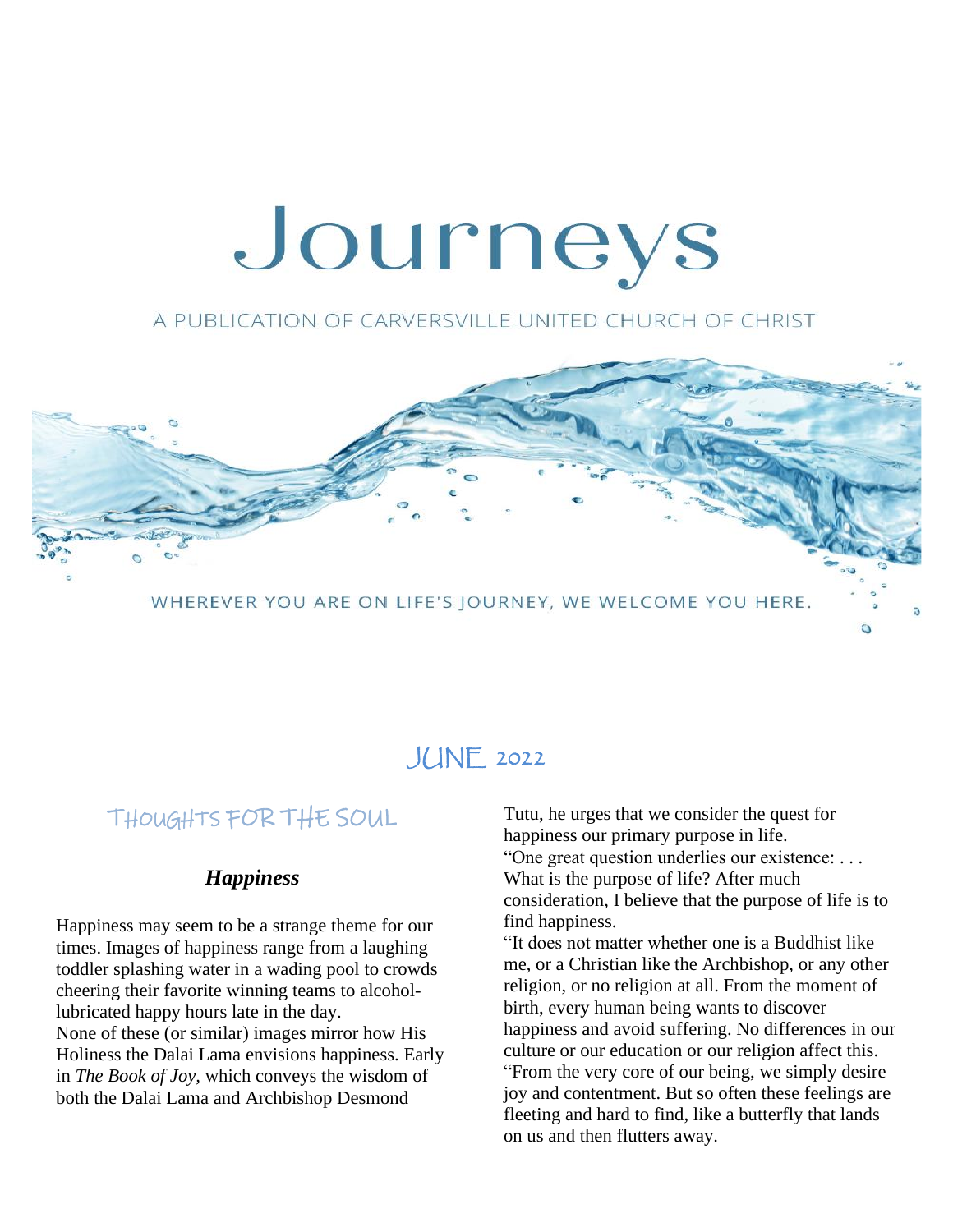

### A PUBLICATION OF CARVERSVILLE UNITED CHURCH OF CHRIST



#### WHEREVER YOU ARE ON LIFE'S JOURNEY, WE WELCOME YOU HERE.

## JUNE 2022

## THOUGHTS FOR THE SOUL

### *Happiness*

Happiness may seem to be a strange theme for our times. Images of happiness range from a laughing toddler splashing water in a wading pool to crowds cheering their favorite winning teams to alcohollubricated happy hours late in the day. None of these (or similar) images mirror how His Holiness the Dalai Lama envisions happiness. Early in *The Book of Joy,* which conveys the wisdom of both the Dalai Lama and Archbishop Desmond

Tutu, he urges that we consider the quest for happiness our primary purpose in life. "One great question underlies our existence: . . . What is the purpose of life? After much consideration, I believe that the purpose of life is to find happiness.

"It does not matter whether one is a Buddhist like me, or a Christian like the Archbishop, or any other religion, or no religion at all. From the moment of birth, every human being wants to discover happiness and avoid suffering. No differences in our culture or our education or our religion affect this. "From the very core of our being, we simply desire joy and contentment. But so often these feelings are fleeting and hard to find, like a butterfly that lands on us and then flutters away.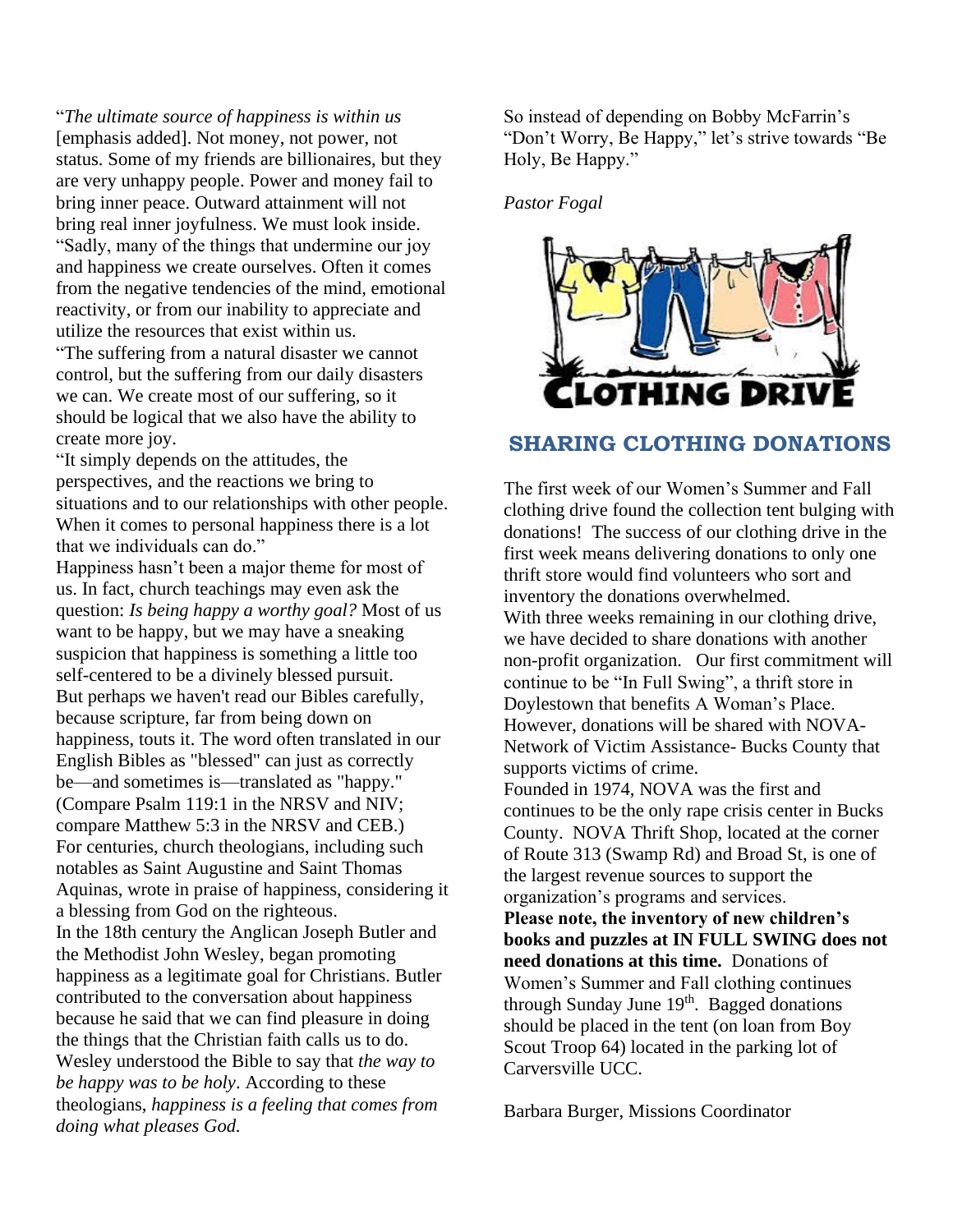"*The ultimate source of happiness is within us* [emphasis added]. Not money, not power, not status. Some of my friends are billionaires, but they are very unhappy people. Power and money fail to bring inner peace. Outward attainment will not bring real inner joyfulness. We must look inside. "Sadly, many of the things that undermine our joy and happiness we create ourselves. Often it comes from the negative tendencies of the mind, emotional reactivity, or from our inability to appreciate and utilize the resources that exist within us.

"The suffering from a natural disaster we cannot control, but the suffering from our daily disasters we can. We create most of our suffering, so it should be logical that we also have the ability to create more joy.

"It simply depends on the attitudes, the perspectives, and the reactions we bring to situations and to our relationships with other people. When it comes to personal happiness there is a lot that we individuals can do."

Happiness hasn't been a major theme for most of us. In fact, church teachings may even ask the question: *Is being happy a worthy goal?* Most of us want to be happy, but we may have a sneaking suspicion that happiness is something a little too self-centered to be a divinely blessed pursuit. But perhaps we haven't read our Bibles carefully, because scripture, far from being down on happiness, touts it. The word often translated in our English Bibles as "blessed" can just as correctly be—and sometimes is—translated as "happy." (Compare Psalm 119:1 in the NRSV and NIV; compare Matthew 5:3 in the NRSV and CEB.) For centuries, church theologians, including such notables as Saint Augustine and Saint Thomas Aquinas, wrote in praise of happiness, considering it a blessing from God on the righteous. In the 18th century the Anglican Joseph Butler and the Methodist John Wesley, began promoting happiness as a legitimate goal for Christians. Butler contributed to the conversation about happiness because he said that we can find pleasure in doing the things that the Christian faith calls us to do. Wesley understood the Bible to say that *the way to be happy was to be holy*. According to these theologians, *happiness is a feeling that comes from doing what pleases God.*

So instead of depending on Bobby McFarrin's "Don't Worry, Be Happy," let's strive towards "Be Holy, Be Happy."

#### *Pastor Fogal*



#### **SHARING CLOTHING DONATIONS**

The first week of our Women's Summer and Fall clothing drive found the collection tent bulging with donations! The success of our clothing drive in the first week means delivering donations to only one thrift store would find volunteers who sort and inventory the donations overwhelmed. With three weeks remaining in our clothing drive, we have decided to share donations with another non-profit organization. Our first commitment will continue to be "In Full Swing", a thrift store in Doylestown that benefits A Woman's Place. However, donations will be shared with NOVA-Network of Victim Assistance- Bucks County that supports victims of crime. Founded in 1974, NOVA was the first and continues to be the only rape crisis center in Bucks County. NOVA Thrift Shop, located at the corner of Route 313 (Swamp Rd) and Broad St, is one of the largest revenue sources to support the organization's programs and services.

**Please note, the inventory of new children's books and puzzles at IN FULL SWING does not need donations at this time.** Donations of Women's Summer and Fall clothing continues through Sunday June  $19<sup>th</sup>$ . Bagged donations should be placed in the tent (on loan from Boy Scout Troop 64) located in the parking lot of Carversville UCC.

Barbara Burger, Missions Coordinator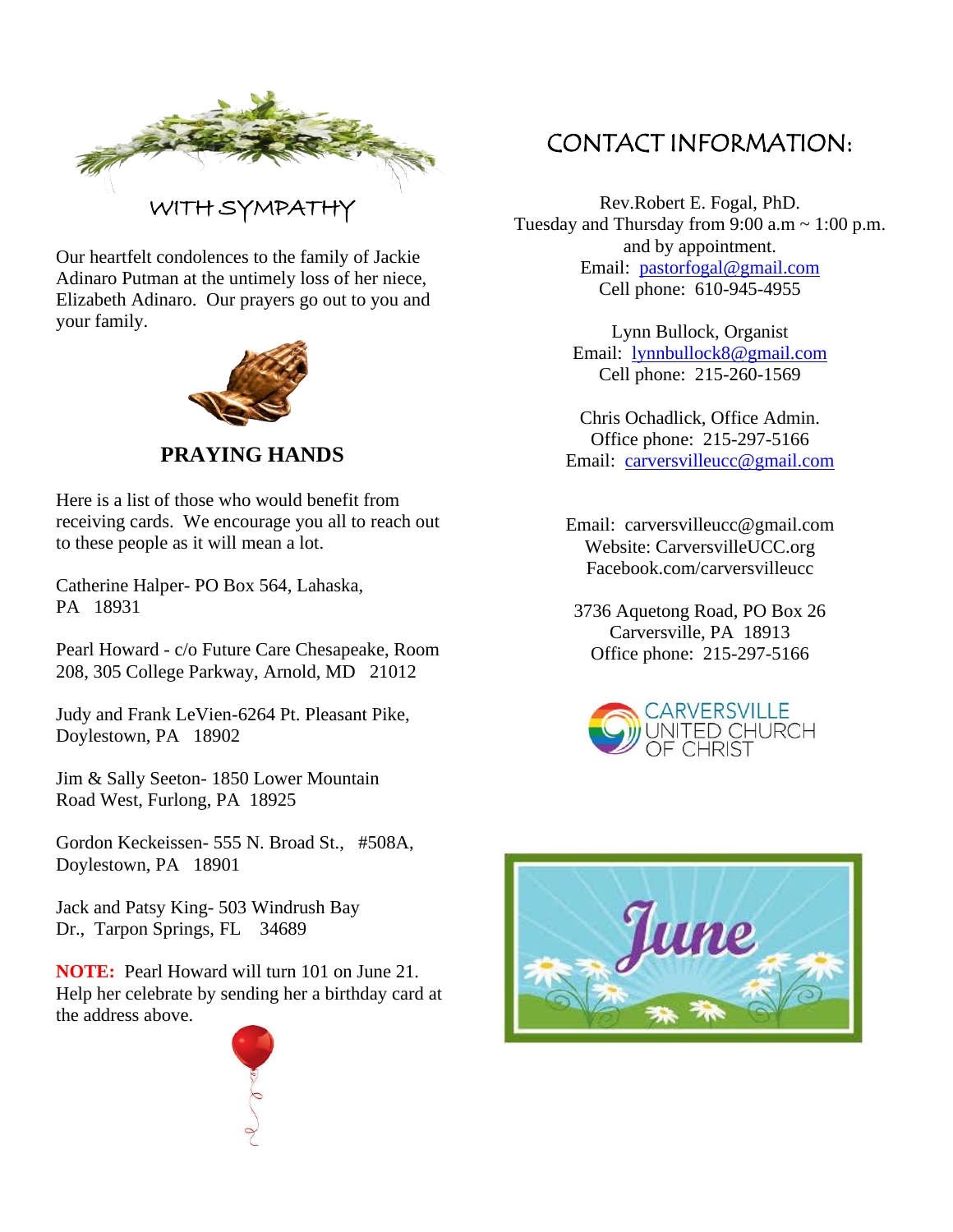

Our heartfelt condolences to the family of Jackie Adinaro Putman at the untimely loss of her niece, Elizabeth Adinaro. Our prayers go out to you and your family.



**PRAYING HANDS**

Here is a list of those who would benefit from receiving cards. We encourage you all to reach out to these people as it will mean a lot.

Catherine Halper- PO Box 564, Lahaska, PA 18931

Pearl Howard - c/o Future Care Chesapeake, Room 208, 305 College Parkway, Arnold, MD 21012

Judy and Frank LeVien-6264 Pt. Pleasant Pike, Doylestown, PA 18902

Jim & Sally Seeton- 1850 Lower Mountain Road West, Furlong, PA 18925

Gordon Keckeissen- 555 N. Broad St., #508A, Doylestown, PA 18901

Jack and Patsy King- 503 Windrush Bay Dr., Tarpon Springs, FL 34689

**NOTE:** Pearl Howard will turn 101 on June 21. Help her celebrate by sending her a birthday card at the address above.



## CONTACT INFORMATION:

Rev.Robert E. Fogal, PhD. Tuesday and Thursday from  $9:00$  a.m  $\sim 1:00$  p.m. and by appointment. Email: [pastorfogal@gmail.com](mailto:pastorfogal@gmail.com) Cell phone: 610-945-4955

> Lynn Bullock, Organist Email: [lynnbullock8@gmail.com](mailto:lynnbullock8@gmail.com) Cell phone: 215-260-1569

Chris Ochadlick, Office Admin. Office phone: 215-297-5166 Email: [carversvilleucc@gmail.com](mailto:carversvilleucc@gmail.com)

Email: carversvilleucc@gmail.com Website: CarversvilleUCC.org Facebook.com/carversvilleucc

3736 Aquetong Road, PO Box 26 Carversville, PA 18913 Office phone: 215-297-5166